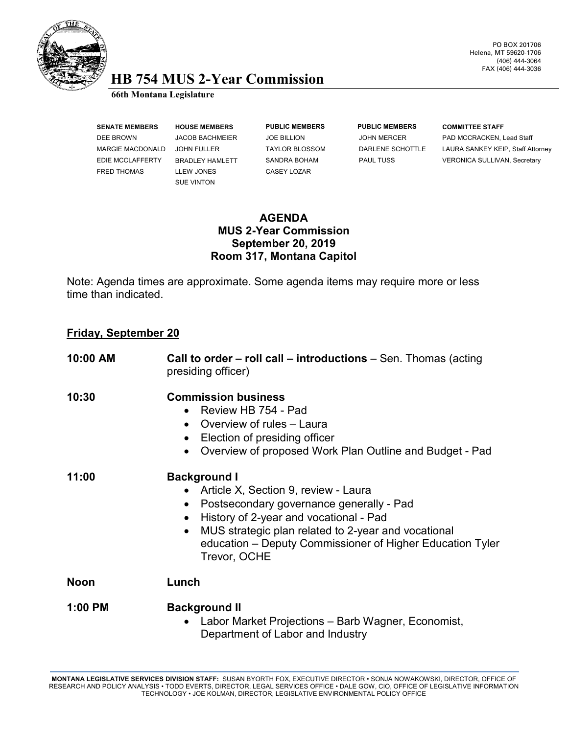

## **HB 754 MUS 2-Year Commission 66th Montana Legislature**

FRED THOMAS LLEW JONES CASEY LOZAR

SUE VINTON

**SENATE MEMBERS HOUSE MEMBERS PUBLIC MEMBERS PUBLIC MEMBERS COMMITTEE STAFF**

DEE BROWN JACOB BACHMEIER JOE BILLION JOHN MERCER PAD MCCRACKEN, Lead Staff MARGIE MACDONALD JOHN FULLER TAYLOR BLOSSOM DARLENE SCHOTTLE LAURA SANKEY KEIP, Staff Attorney EDIE MCCLAFFERTY BRADLEY HAMLETT SANDRA BOHAM PAUL TUSS VERONICA SULLIVAN, Secretary

## **AGENDA MUS 2-Year Commission September 20, 2019 Room 317, Montana Capitol**

Note: Agenda times are approximate. Some agenda items may require more or less time than indicated.

## **Friday, September 20**

| 10:00 AM    | <b>Call to order – roll call – introductions</b> – Sen. Thomas (acting<br>presiding officer)                                                                                                                                                                                          |
|-------------|---------------------------------------------------------------------------------------------------------------------------------------------------------------------------------------------------------------------------------------------------------------------------------------|
| 10:30       | <b>Commission business</b><br>Review HB 754 - Pad<br>Overview of rules - Laura<br>Election of presiding officer<br>Overview of proposed Work Plan Outline and Budget - Pad                                                                                                            |
| 11:00       | <b>Background I</b><br>Article X, Section 9, review - Laura<br>Postsecondary governance generally - Pad<br>History of 2-year and vocational - Pad<br>MUS strategic plan related to 2-year and vocational<br>education – Deputy Commissioner of Higher Education Tyler<br>Trevor, OCHE |
| <b>Noon</b> | Lunch                                                                                                                                                                                                                                                                                 |
| $1:00$ PM   | <b>Background II</b><br>Labor Market Projections - Barb Wagner, Economist,<br>Department of Labor and Industry                                                                                                                                                                        |